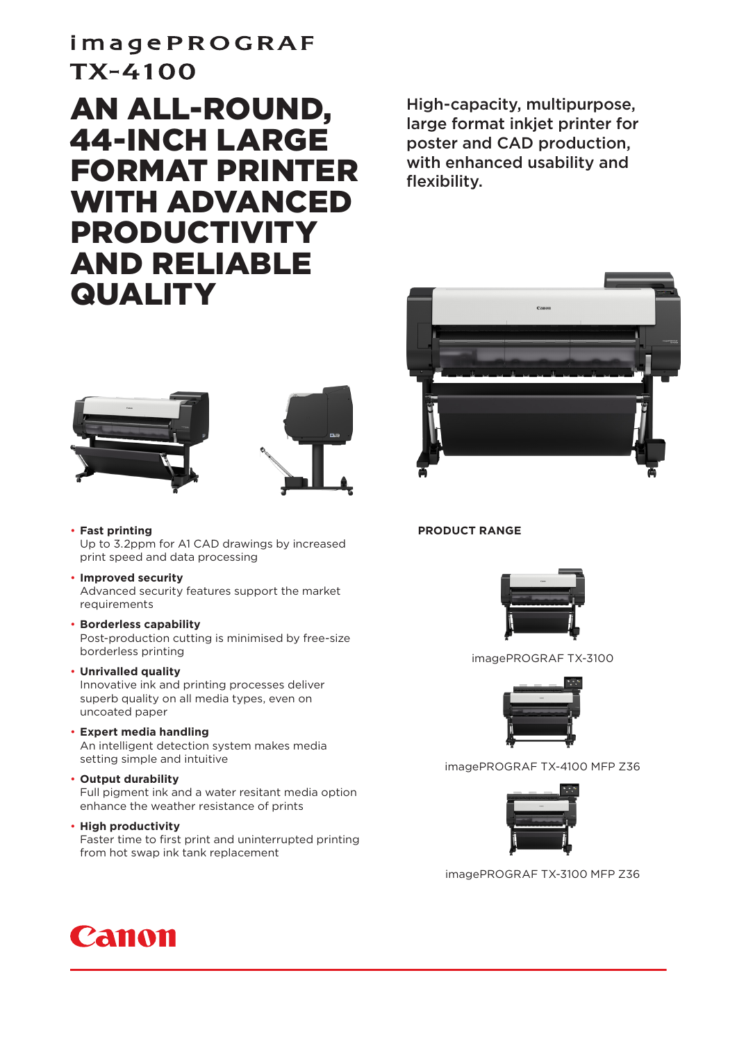## imagePROGRAF TX-4100

## AN ALL-ROUND, 44-INCH LARGE FORMAT PRINTER WITH ADVANCED PRODUCTIVITY AND RELIABLE **QUALITY**

High-capacity, multipurpose, large format inkjet printer for poster and CAD production, with enhanced usability and flexibility.





- **Fast printing**  Up to 3.2ppm for A1 CAD drawings by increased print speed and data processing
- **Improved security** Advanced security features support the market requirements
- **Borderless capability** Post-production cutting is minimised by free-size borderless printing
- **Unrivalled quality** Innovative ink and printing processes deliver superb quality on all media types, even on uncoated paper
- **Expert media handling** An intelligent detection system makes media setting simple and intuitive
- **Output durability** Full pigment ink and a water resitant media option enhance the weather resistance of prints
- **High productivity**

Faster time to first print and uninterrupted printing from hot swap ink tank replacement





imagePROGRAF TX-3100



imagePROGRAF TX-4100 MFP Z36



imagePROGRAF TX-3100 MFP Z36